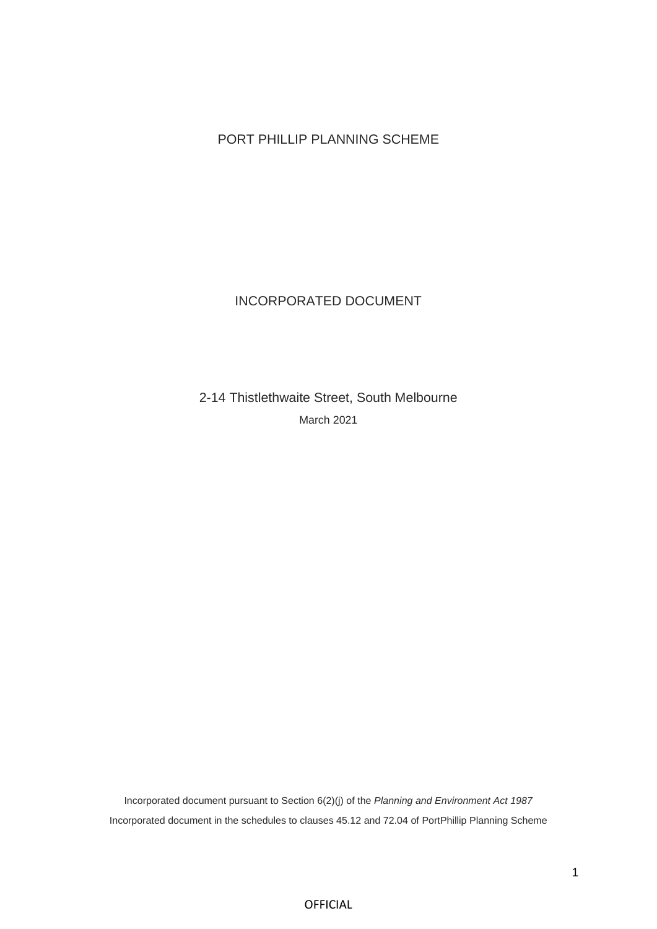# PORT PHILLIP PLANNING SCHEME

# INCORPORATED DOCUMENT

2-14 Thistlethwaite Street, South Melbourne March 2021

Incorporated document pursuant to Section 6(2)(j) of the *Planning and Environment Act 1987* Incorporated document in the schedules to clauses 45.12 and 72.04 of PortPhillip Planning Scheme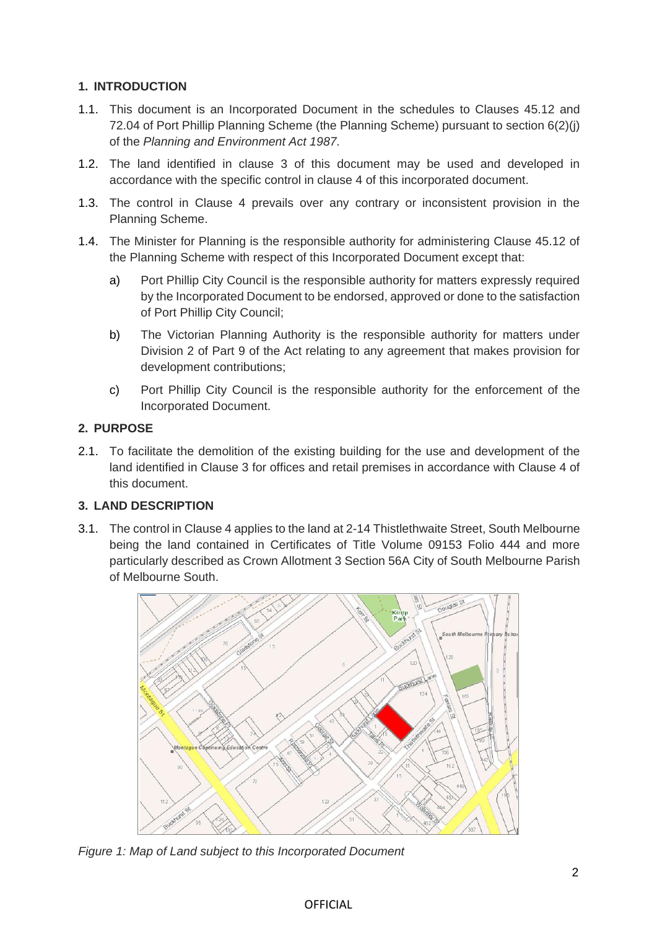# **1. INTRODUCTION**

- 1.1. This document is an Incorporated Document in the schedules to Clauses 45.12 and 72.04 of Port Phillip Planning Scheme (the Planning Scheme) pursuant to section 6(2)(j) of the *Planning and Environment Act 1987.*
- 1.2. The land identified in clause 3 of this document may be used and developed in accordance with the specific control in clause 4 of this incorporated document.
- 1.3. The control in Clause 4 prevails over any contrary or inconsistent provision in the Planning Scheme.
- 1.4. The Minister for Planning is the responsible authority for administering Clause 45.12 of the Planning Scheme with respect of this Incorporated Document except that:
	- a) Port Phillip City Council is the responsible authority for matters expressly required by the Incorporated Document to be endorsed, approved or done to the satisfaction of Port Phillip City Council;
	- b) The Victorian Planning Authority is the responsible authority for matters under Division 2 of Part 9 of the Act relating to any agreement that makes provision for development contributions;
	- c) Port Phillip City Council is the responsible authority for the enforcement of the Incorporated Document.

## **2. PURPOSE**

2.1. To facilitate the demolition of the existing building for the use and development of the land identified in Clause 3 for offices and retail premises in accordance with Clause 4 of this document.

## **3. LAND DESCRIPTION**

3.1. The control in Clause 4 applies to the land at 2-14 Thistlethwaite Street, South Melbourne being the land contained in Certificates of Title Volume 09153 Folio 444 and more particularly described as Crown Allotment 3 Section 56A City of South Melbourne Parish of Melbourne South.



*Figure 1: Map of Land subject to this Incorporated Document*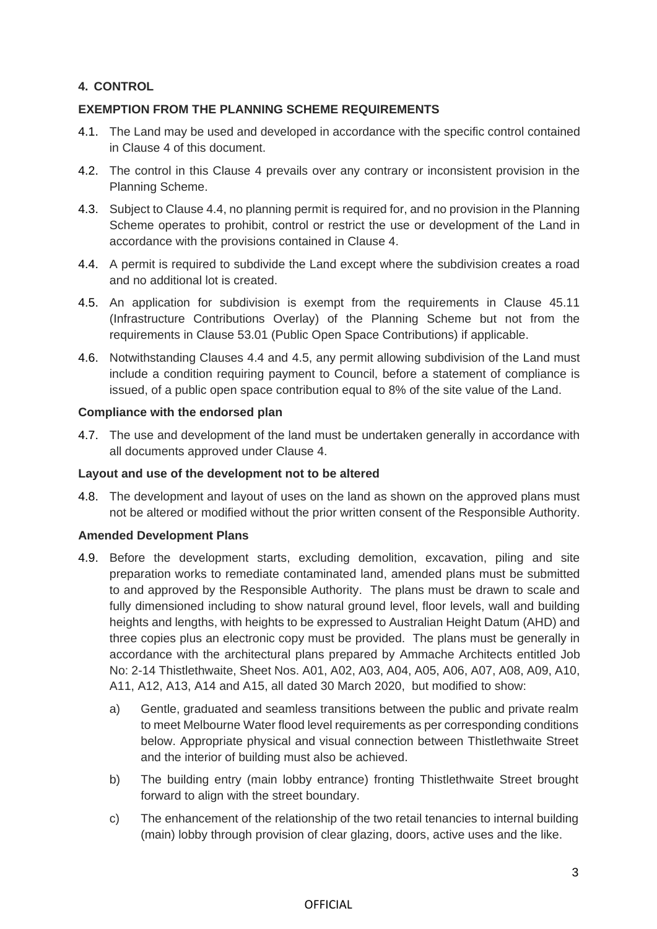## **4. CONTROL**

## **EXEMPTION FROM THE PLANNING SCHEME REQUIREMENTS**

- 4.1. The Land may be used and developed in accordance with the specific control contained in Clause 4 of this document.
- 4.2. The control in this Clause 4 prevails over any contrary or inconsistent provision in the Planning Scheme.
- 4.3. Subject to Clause 4.4, no planning permit is required for, and no provision in the Planning Scheme operates to prohibit, control or restrict the use or development of the Land in accordance with the provisions contained in Clause 4.
- 4.4. A permit is required to subdivide the Land except where the subdivision creates a road and no additional lot is created.
- 4.5. An application for subdivision is exempt from the requirements in Clause 45.11 (Infrastructure Contributions Overlay) of the Planning Scheme but not from the requirements in Clause 53.01 (Public Open Space Contributions) if applicable.
- 4.6. Notwithstanding Clauses 4.4 and 4.5, any permit allowing subdivision of the Land must include a condition requiring payment to Council, before a statement of compliance is issued, of a public open space contribution equal to 8% of the site value of the Land.

### **Compliance with the endorsed plan**

4.7. The use and development of the land must be undertaken generally in accordance with all documents approved under Clause 4.

### **Layout and use of the development not to be altered**

4.8. The development and layout of uses on the land as shown on the approved plans must not be altered or modified without the prior written consent of the Responsible Authority.

### **Amended Development Plans**

- 4.9. Before the development starts, excluding demolition, excavation, piling and site preparation works to remediate contaminated land, amended plans must be submitted to and approved by the Responsible Authority. The plans must be drawn to scale and fully dimensioned including to show natural ground level, floor levels, wall and building heights and lengths, with heights to be expressed to Australian Height Datum (AHD) and three copies plus an electronic copy must be provided. The plans must be generally in accordance with the architectural plans prepared by Ammache Architects entitled Job No: 2-14 Thistlethwaite, Sheet Nos. A01, A02, A03, A04, A05, A06, A07, A08, A09, A10, A11, A12, A13, A14 and A15, all dated 30 March 2020, but modified to show:
	- a) Gentle, graduated and seamless transitions between the public and private realm to meet Melbourne Water flood level requirements as per corresponding conditions below. Appropriate physical and visual connection between Thistlethwaite Street and the interior of building must also be achieved.
	- b) The building entry (main lobby entrance) fronting Thistlethwaite Street brought forward to align with the street boundary.
	- c) The enhancement of the relationship of the two retail tenancies to internal building (main) lobby through provision of clear glazing, doors, active uses and the like.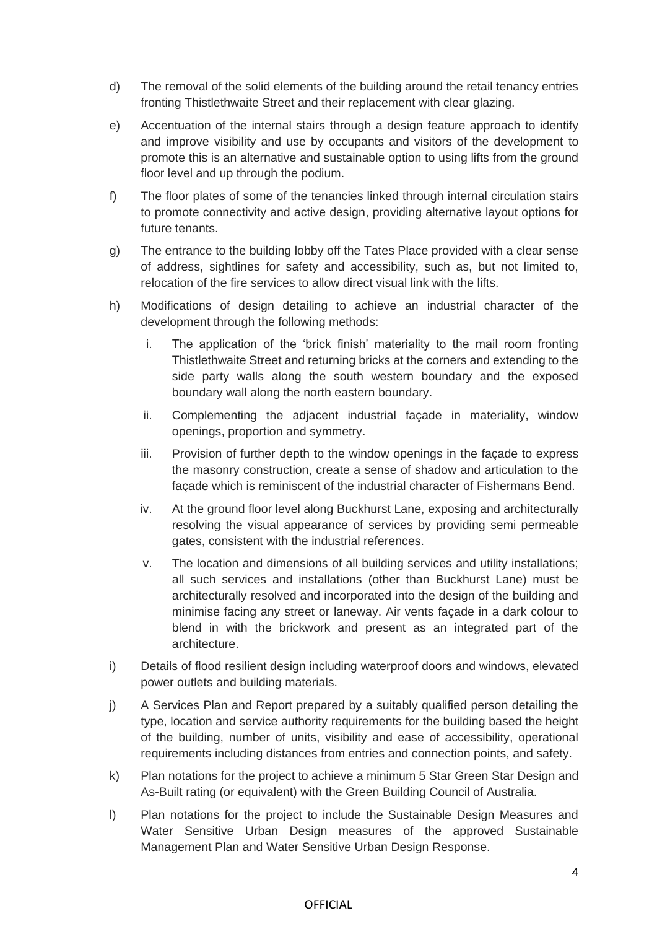- d) The removal of the solid elements of the building around the retail tenancy entries fronting Thistlethwaite Street and their replacement with clear glazing.
- e) Accentuation of the internal stairs through a design feature approach to identify and improve visibility and use by occupants and visitors of the development to promote this is an alternative and sustainable option to using lifts from the ground floor level and up through the podium.
- f) The floor plates of some of the tenancies linked through internal circulation stairs to promote connectivity and active design, providing alternative layout options for future tenants.
- g) The entrance to the building lobby off the Tates Place provided with a clear sense of address, sightlines for safety and accessibility, such as, but not limited to, relocation of the fire services to allow direct visual link with the lifts.
- h) Modifications of design detailing to achieve an industrial character of the development through the following methods:
	- i. The application of the 'brick finish' materiality to the mail room fronting Thistlethwaite Street and returning bricks at the corners and extending to the side party walls along the south western boundary and the exposed boundary wall along the north eastern boundary.
	- ii. Complementing the adjacent industrial façade in materiality, window openings, proportion and symmetry.
	- iii. Provision of further depth to the window openings in the façade to express the masonry construction, create a sense of shadow and articulation to the façade which is reminiscent of the industrial character of Fishermans Bend.
	- iv. At the ground floor level along Buckhurst Lane, exposing and architecturally resolving the visual appearance of services by providing semi permeable gates, consistent with the industrial references.
	- v. The location and dimensions of all building services and utility installations; all such services and installations (other than Buckhurst Lane) must be architecturally resolved and incorporated into the design of the building and minimise facing any street or laneway. Air vents façade in a dark colour to blend in with the brickwork and present as an integrated part of the architecture.
- i) Details of flood resilient design including waterproof doors and windows, elevated power outlets and building materials.
- j) A Services Plan and Report prepared by a suitably qualified person detailing the type, location and service authority requirements for the building based the height of the building, number of units, visibility and ease of accessibility, operational requirements including distances from entries and connection points, and safety.
- k) Plan notations for the project to achieve a minimum 5 Star Green Star Design and As-Built rating (or equivalent) with the Green Building Council of Australia.
- l) Plan notations for the project to include the Sustainable Design Measures and Water Sensitive Urban Design measures of the approved Sustainable Management Plan and Water Sensitive Urban Design Response.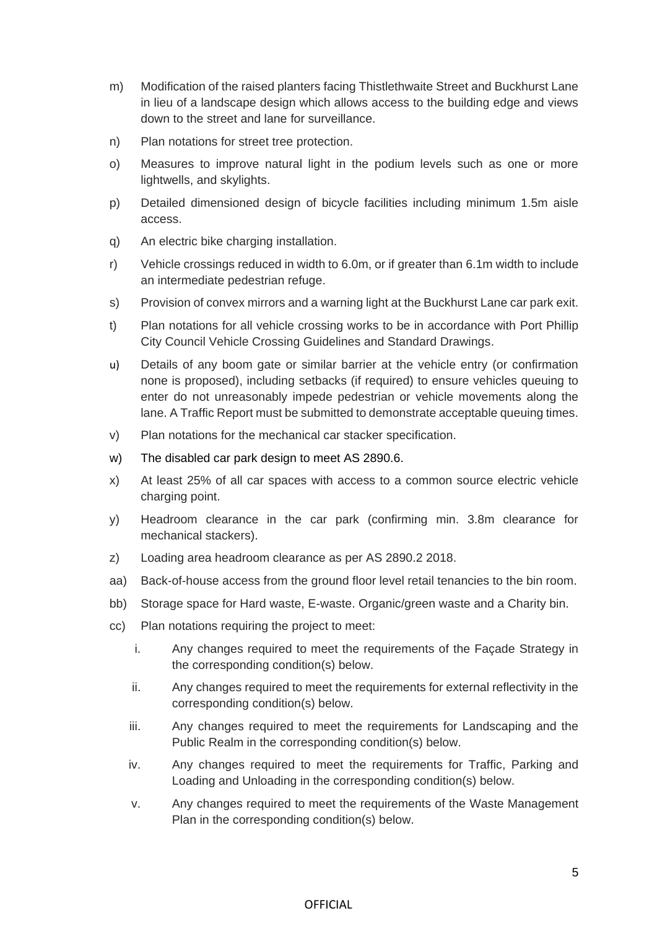- m) Modification of the raised planters facing Thistlethwaite Street and Buckhurst Lane in lieu of a landscape design which allows access to the building edge and views down to the street and lane for surveillance.
- n) Plan notations for street tree protection.
- o) Measures to improve natural light in the podium levels such as one or more lightwells, and skylights.
- p) Detailed dimensioned design of bicycle facilities including minimum 1.5m aisle access.
- q) An electric bike charging installation.
- r) Vehicle crossings reduced in width to 6.0m, or if greater than 6.1m width to include an intermediate pedestrian refuge.
- s) Provision of convex mirrors and a warning light at the Buckhurst Lane car park exit.
- t) Plan notations for all vehicle crossing works to be in accordance with Port Phillip City Council Vehicle Crossing Guidelines and Standard Drawings.
- u) Details of any boom gate or similar barrier at the vehicle entry (or confirmation none is proposed), including setbacks (if required) to ensure vehicles queuing to enter do not unreasonably impede pedestrian or vehicle movements along the lane. A Traffic Report must be submitted to demonstrate acceptable queuing times.
- v) Plan notations for the mechanical car stacker specification.
- w) The disabled car park design to meet AS 2890.6.
- x) At least 25% of all car spaces with access to a common source electric vehicle charging point.
- y) Headroom clearance in the car park (confirming min. 3.8m clearance for mechanical stackers).
- z) Loading area headroom clearance as per AS 2890.2 2018.
- aa) Back-of-house access from the ground floor level retail tenancies to the bin room.
- bb) Storage space for Hard waste, E-waste. Organic/green waste and a Charity bin.
- cc) Plan notations requiring the project to meet:
	- i. Any changes required to meet the requirements of the Façade Strategy in the corresponding condition(s) below.
	- ii. Any changes required to meet the requirements for external reflectivity in the corresponding condition(s) below.
	- iii. Any changes required to meet the requirements for Landscaping and the Public Realm in the corresponding condition(s) below.
	- iv. Any changes required to meet the requirements for Traffic, Parking and Loading and Unloading in the corresponding condition(s) below.
	- v. Any changes required to meet the requirements of the Waste Management Plan in the corresponding condition(s) below.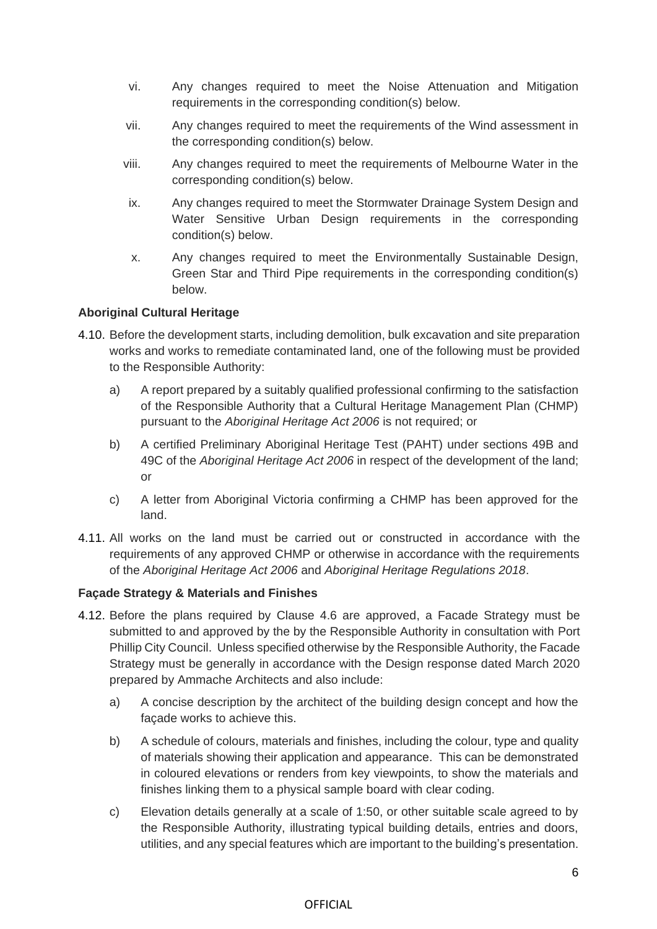- vi. Any changes required to meet the Noise Attenuation and Mitigation requirements in the corresponding condition(s) below.
- vii. Any changes required to meet the requirements of the Wind assessment in the corresponding condition(s) below.
- viii. Any changes required to meet the requirements of Melbourne Water in the corresponding condition(s) below.
- ix. Any changes required to meet the Stormwater Drainage System Design and Water Sensitive Urban Design requirements in the corresponding condition(s) below.
- x. Any changes required to meet the Environmentally Sustainable Design, Green Star and Third Pipe requirements in the corresponding condition(s) below.

## **Aboriginal Cultural Heritage**

- 4.10. Before the development starts, including demolition, bulk excavation and site preparation works and works to remediate contaminated land, one of the following must be provided to the Responsible Authority:
	- a) A report prepared by a suitably qualified professional confirming to the satisfaction of the Responsible Authority that a Cultural Heritage Management Plan (CHMP) pursuant to the *Aboriginal Heritage Act 2006* is not required; or
	- b) A certified Preliminary Aboriginal Heritage Test (PAHT) under sections 49B and 49C of the *Aboriginal Heritage Act 2006* in respect of the development of the land; or
	- c) A letter from Aboriginal Victoria confirming a CHMP has been approved for the land.
- 4.11. All works on the land must be carried out or constructed in accordance with the requirements of any approved CHMP or otherwise in accordance with the requirements of the *Aboriginal Heritage Act 2006* and *Aboriginal Heritage Regulations 2018*.

### **Façade Strategy & Materials and Finishes**

- 4.12. Before the plans required by Clause 4.6 are approved, a Facade Strategy must be submitted to and approved by the by the Responsible Authority in consultation with Port Phillip City Council. Unless specified otherwise by the Responsible Authority, the Facade Strategy must be generally in accordance with the Design response dated March 2020 prepared by Ammache Architects and also include:
	- a) A concise description by the architect of the building design concept and how the façade works to achieve this.
	- b) A schedule of colours, materials and finishes, including the colour, type and quality of materials showing their application and appearance. This can be demonstrated in coloured elevations or renders from key viewpoints, to show the materials and finishes linking them to a physical sample board with clear coding.
	- c) Elevation details generally at a scale of 1:50, or other suitable scale agreed to by the Responsible Authority, illustrating typical building details, entries and doors, utilities, and any special features which are important to the building's presentation.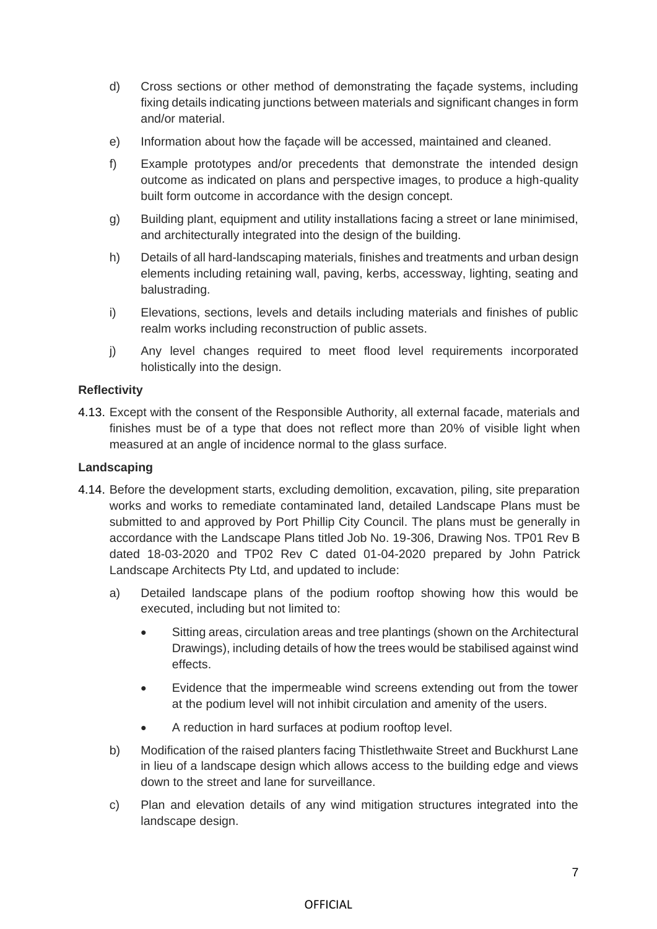- d) Cross sections or other method of demonstrating the façade systems, including fixing details indicating junctions between materials and significant changes in form and/or material.
- e) Information about how the façade will be accessed, maintained and cleaned.
- f) Example prototypes and/or precedents that demonstrate the intended design outcome as indicated on plans and perspective images, to produce a high-quality built form outcome in accordance with the design concept.
- g) Building plant, equipment and utility installations facing a street or lane minimised, and architecturally integrated into the design of the building.
- h) Details of all hard-landscaping materials, finishes and treatments and urban design elements including retaining wall, paving, kerbs, accessway, lighting, seating and balustrading.
- i) Elevations, sections, levels and details including materials and finishes of public realm works including reconstruction of public assets.
- j) Any level changes required to meet flood level requirements incorporated holistically into the design.

### **Reflectivity**

4.13. Except with the consent of the Responsible Authority, all external facade, materials and finishes must be of a type that does not reflect more than 20% of visible light when measured at an angle of incidence normal to the glass surface.

### **Landscaping**

- 4.14. Before the development starts, excluding demolition, excavation, piling, site preparation works and works to remediate contaminated land, detailed Landscape Plans must be submitted to and approved by Port Phillip City Council. The plans must be generally in accordance with the Landscape Plans titled Job No. 19-306, Drawing Nos. TP01 Rev B dated 18-03-2020 and TP02 Rev C dated 01-04-2020 prepared by John Patrick Landscape Architects Pty Ltd, and updated to include:
	- a) Detailed landscape plans of the podium rooftop showing how this would be executed, including but not limited to:
		- Sitting areas, circulation areas and tree plantings (shown on the Architectural Drawings), including details of how the trees would be stabilised against wind effects.
		- Evidence that the impermeable wind screens extending out from the tower at the podium level will not inhibit circulation and amenity of the users.
		- A reduction in hard surfaces at podium rooftop level.
	- b) Modification of the raised planters facing Thistlethwaite Street and Buckhurst Lane in lieu of a landscape design which allows access to the building edge and views down to the street and lane for surveillance.
	- c) Plan and elevation details of any wind mitigation structures integrated into the landscape design.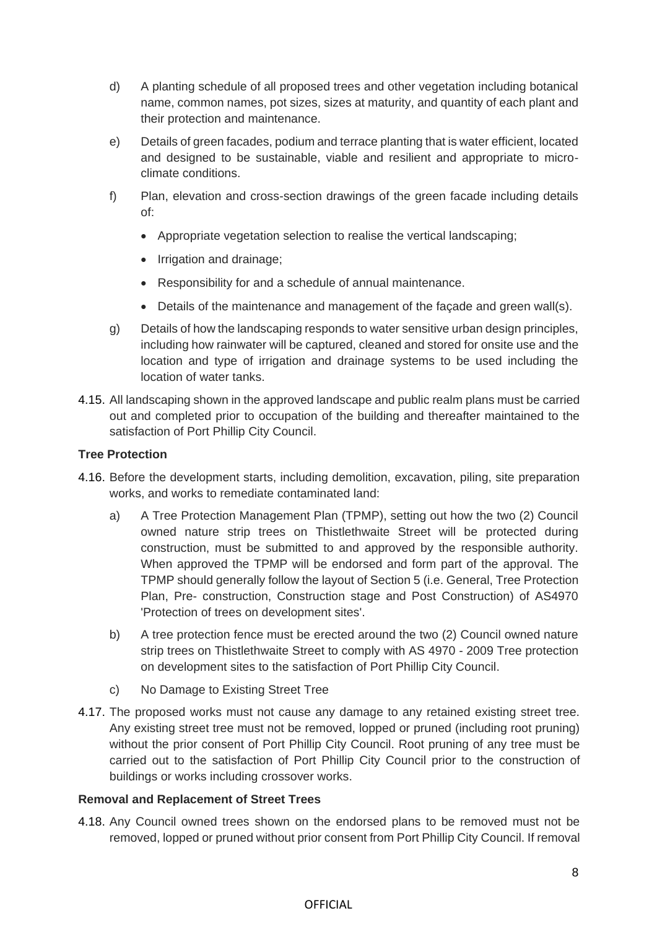- d) A planting schedule of all proposed trees and other vegetation including botanical name, common names, pot sizes, sizes at maturity, and quantity of each plant and their protection and maintenance.
- e) Details of green facades, podium and terrace planting that is water efficient, located and designed to be sustainable, viable and resilient and appropriate to microclimate conditions.
- f) Plan, elevation and cross-section drawings of the green facade including details of:
	- Appropriate vegetation selection to realise the vertical landscaping;
	- Irrigation and drainage;
	- Responsibility for and a schedule of annual maintenance.
	- Details of the maintenance and management of the façade and green wall(s).
- g) Details of how the landscaping responds to water sensitive urban design principles, including how rainwater will be captured, cleaned and stored for onsite use and the location and type of irrigation and drainage systems to be used including the location of water tanks.
- 4.15. All landscaping shown in the approved landscape and public realm plans must be carried out and completed prior to occupation of the building and thereafter maintained to the satisfaction of Port Phillip City Council.

### **Tree Protection**

- 4.16. Before the development starts, including demolition, excavation, piling, site preparation works, and works to remediate contaminated land:
	- a) A Tree Protection Management Plan (TPMP), setting out how the two (2) Council owned nature strip trees on Thistlethwaite Street will be protected during construction, must be submitted to and approved by the responsible authority. When approved the TPMP will be endorsed and form part of the approval. The TPMP should generally follow the layout of Section 5 (i.e. General, Tree Protection Plan, Pre- construction, Construction stage and Post Construction) of AS4970 'Protection of trees on development sites'.
	- b) A tree protection fence must be erected around the two (2) Council owned nature strip trees on Thistlethwaite Street to comply with AS 4970 - 2009 Tree protection on development sites to the satisfaction of Port Phillip City Council.
	- c) No Damage to Existing Street Tree
- 4.17. The proposed works must not cause any damage to any retained existing street tree. Any existing street tree must not be removed, lopped or pruned (including root pruning) without the prior consent of Port Phillip City Council. Root pruning of any tree must be carried out to the satisfaction of Port Phillip City Council prior to the construction of buildings or works including crossover works.

### **Removal and Replacement of Street Trees**

4.18. Any Council owned trees shown on the endorsed plans to be removed must not be removed, lopped or pruned without prior consent from Port Phillip City Council. If removal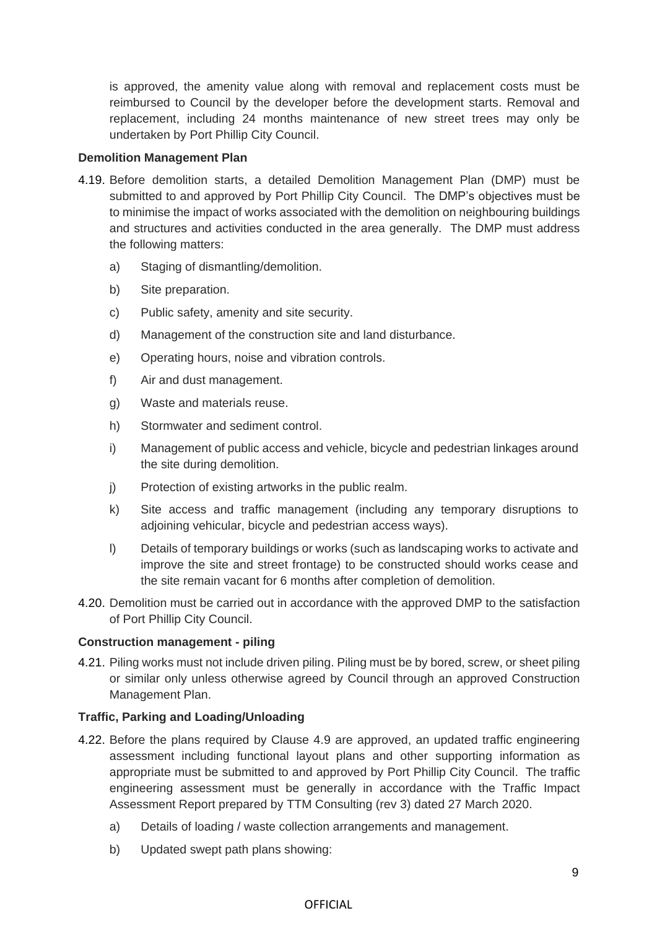is approved, the amenity value along with removal and replacement costs must be reimbursed to Council by the developer before the development starts. Removal and replacement, including 24 months maintenance of new street trees may only be undertaken by Port Phillip City Council.

#### **Demolition Management Plan**

- 4.19. Before demolition starts, a detailed Demolition Management Plan (DMP) must be submitted to and approved by Port Phillip City Council. The DMP's objectives must be to minimise the impact of works associated with the demolition on neighbouring buildings and structures and activities conducted in the area generally. The DMP must address the following matters:
	- a) Staging of dismantling/demolition.
	- b) Site preparation.
	- c) Public safety, amenity and site security.
	- d) Management of the construction site and land disturbance.
	- e) Operating hours, noise and vibration controls.
	- f) Air and dust management.
	- g) Waste and materials reuse.
	- h) Stormwater and sediment control.
	- i) Management of public access and vehicle, bicycle and pedestrian linkages around the site during demolition.
	- j) Protection of existing artworks in the public realm.
	- k) Site access and traffic management (including any temporary disruptions to adjoining vehicular, bicycle and pedestrian access ways).
	- l) Details of temporary buildings or works (such as landscaping works to activate and improve the site and street frontage) to be constructed should works cease and the site remain vacant for 6 months after completion of demolition.
- 4.20. Demolition must be carried out in accordance with the approved DMP to the satisfaction of Port Phillip City Council.

#### **Construction management - piling**

4.21. Piling works must not include driven piling. Piling must be by bored, screw, or sheet piling or similar only unless otherwise agreed by Council through an approved Construction Management Plan.

### **Traffic, Parking and Loading/Unloading**

- 4.22. Before the plans required by Clause 4.9 are approved, an updated traffic engineering assessment including functional layout plans and other supporting information as appropriate must be submitted to and approved by Port Phillip City Council. The traffic engineering assessment must be generally in accordance with the Traffic Impact Assessment Report prepared by TTM Consulting (rev 3) dated 27 March 2020.
	- a) Details of loading / waste collection arrangements and management.
	- b) Updated swept path plans showing: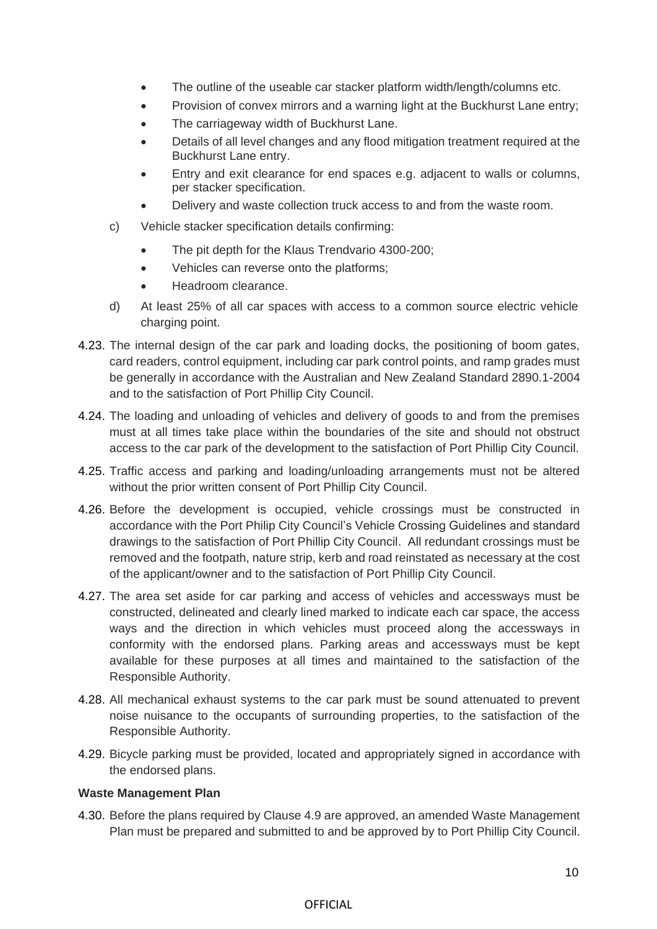- The outline of the useable car stacker platform width/length/columns etc.
- Provision of convex mirrors and a warning light at the Buckhurst Lane entry;
- The carriageway width of Buckhurst Lane.
- Details of all level changes and any flood mitigation treatment required at the Buckhurst Lane entry.
- Entry and exit clearance for end spaces e.g. adjacent to walls or columns, per stacker specification.
- Delivery and waste collection truck access to and from the waste room.
- c) Vehicle stacker specification details confirming:
	- The pit depth for the Klaus Trendvario 4300-200;
	- Vehicles can reverse onto the platforms;
	- Headroom clearance.
- d) At least 25% of all car spaces with access to a common source electric vehicle charging point.
- 4.23. The internal design of the car park and loading docks, the positioning of boom gates, card readers, control equipment, including car park control points, and ramp grades must be generally in accordance with the Australian and New Zealand Standard 2890.1-2004 and to the satisfaction of Port Phillip City Council.
- 4.24. The loading and unloading of vehicles and delivery of goods to and from the premises must at all times take place within the boundaries of the site and should not obstruct access to the car park of the development to the satisfaction of Port Phillip City Council.
- 4.25. Traffic access and parking and loading/unloading arrangements must not be altered without the prior written consent of Port Phillip City Council.
- 4.26. Before the development is occupied, vehicle crossings must be constructed in accordance with the Port Philip City Council's Vehicle Crossing Guidelines and standard drawings to the satisfaction of Port Phillip City Council. All redundant crossings must be removed and the footpath, nature strip, kerb and road reinstated as necessary at the cost of the applicant/owner and to the satisfaction of Port Phillip City Council.
- 4.27. The area set aside for car parking and access of vehicles and accessways must be constructed, delineated and clearly lined marked to indicate each car space, the access ways and the direction in which vehicles must proceed along the accessways in conformity with the endorsed plans. Parking areas and accessways must be kept available for these purposes at all times and maintained to the satisfaction of the Responsible Authority.
- 4.28. All mechanical exhaust systems to the car park must be sound attenuated to prevent noise nuisance to the occupants of surrounding properties, to the satisfaction of the Responsible Authority.
- 4.29. Bicycle parking must be provided, located and appropriately signed in accordance with the endorsed plans.

#### **Waste Management Plan**

4.30. Before the plans required by Clause 4.9 are approved, an amended Waste Management Plan must be prepared and submitted to and be approved by to Port Phillip City Council.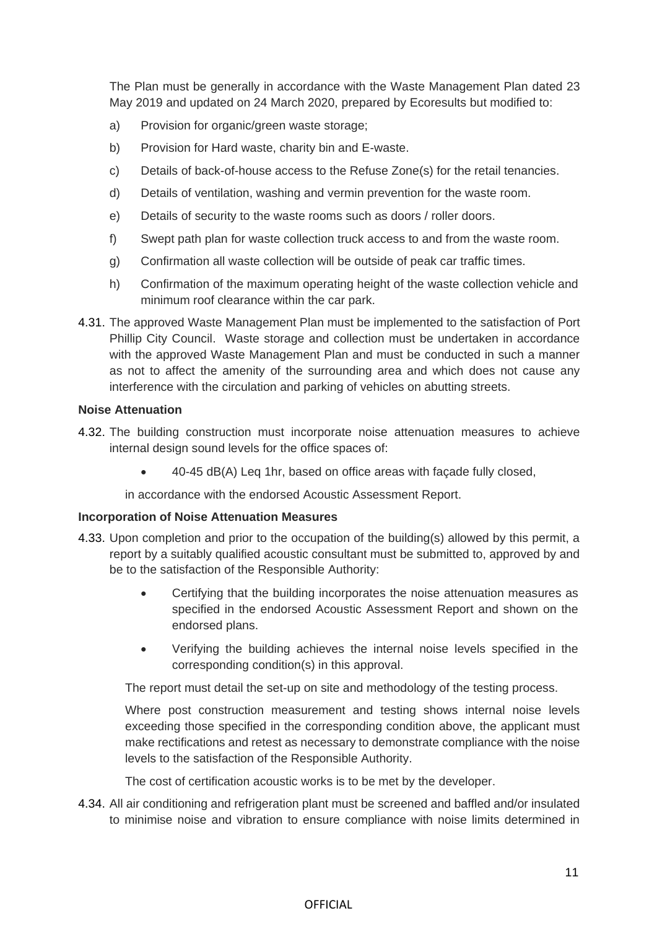The Plan must be generally in accordance with the Waste Management Plan dated 23 May 2019 and updated on 24 March 2020, prepared by Ecoresults but modified to:

- a) Provision for organic/green waste storage;
- b) Provision for Hard waste, charity bin and E-waste.
- c) Details of back-of-house access to the Refuse Zone(s) for the retail tenancies.
- d) Details of ventilation, washing and vermin prevention for the waste room.
- e) Details of security to the waste rooms such as doors / roller doors.
- f) Swept path plan for waste collection truck access to and from the waste room.
- g) Confirmation all waste collection will be outside of peak car traffic times.
- h) Confirmation of the maximum operating height of the waste collection vehicle and minimum roof clearance within the car park.
- 4.31. The approved Waste Management Plan must be implemented to the satisfaction of Port Phillip City Council. Waste storage and collection must be undertaken in accordance with the approved Waste Management Plan and must be conducted in such a manner as not to affect the amenity of the surrounding area and which does not cause any interference with the circulation and parking of vehicles on abutting streets.

### **Noise Attenuation**

- 4.32. The building construction must incorporate noise attenuation measures to achieve internal design sound levels for the office spaces of:
	- 40-45 dB(A) Leq 1hr, based on office areas with façade fully closed,

in accordance with the endorsed Acoustic Assessment Report.

### **Incorporation of Noise Attenuation Measures**

- 4.33. Upon completion and prior to the occupation of the building(s) allowed by this permit, a report by a suitably qualified acoustic consultant must be submitted to, approved by and be to the satisfaction of the Responsible Authority:
	- Certifying that the building incorporates the noise attenuation measures as specified in the endorsed Acoustic Assessment Report and shown on the endorsed plans.
	- Verifying the building achieves the internal noise levels specified in the corresponding condition(s) in this approval.

The report must detail the set-up on site and methodology of the testing process.

Where post construction measurement and testing shows internal noise levels exceeding those specified in the corresponding condition above, the applicant must make rectifications and retest as necessary to demonstrate compliance with the noise levels to the satisfaction of the Responsible Authority.

The cost of certification acoustic works is to be met by the developer.

4.34. All air conditioning and refrigeration plant must be screened and baffled and/or insulated to minimise noise and vibration to ensure compliance with noise limits determined in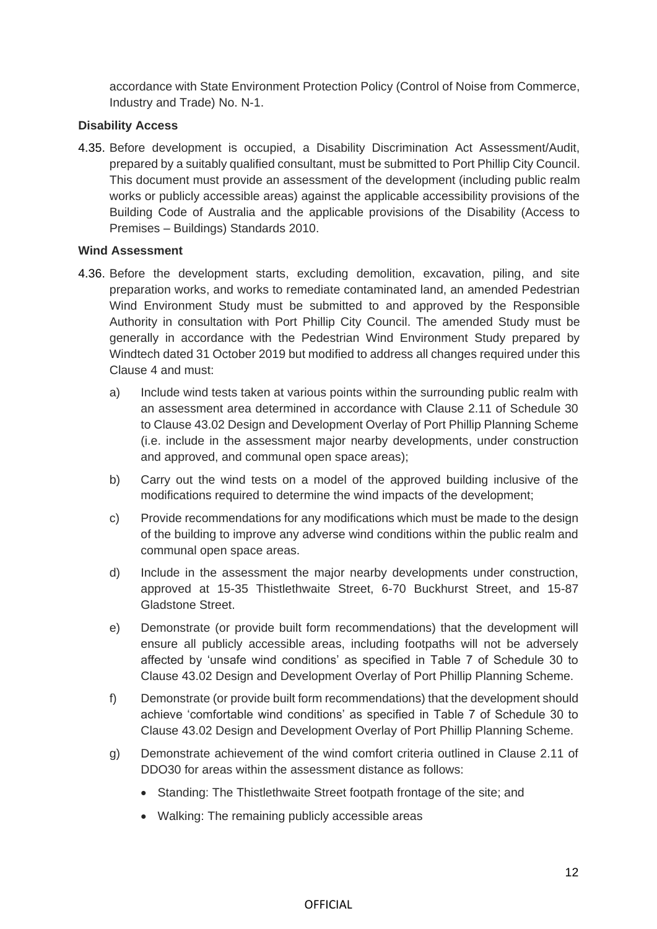accordance with State Environment Protection Policy (Control of Noise from Commerce, Industry and Trade) No. N-1.

### **Disability Access**

4.35. Before development is occupied, a Disability Discrimination Act Assessment/Audit, prepared by a suitably qualified consultant, must be submitted to Port Phillip City Council. This document must provide an assessment of the development (including public realm works or publicly accessible areas) against the applicable accessibility provisions of the Building Code of Australia and the applicable provisions of the Disability (Access to Premises – Buildings) Standards 2010.

#### **Wind Assessment**

- 4.36. Before the development starts, excluding demolition, excavation, piling, and site preparation works, and works to remediate contaminated land, an amended Pedestrian Wind Environment Study must be submitted to and approved by the Responsible Authority in consultation with Port Phillip City Council. The amended Study must be generally in accordance with the Pedestrian Wind Environment Study prepared by Windtech dated 31 October 2019 but modified to address all changes required under this Clause 4 and must:
	- a) Include wind tests taken at various points within the surrounding public realm with an assessment area determined in accordance with Clause 2.11 of Schedule 30 to Clause 43.02 Design and Development Overlay of Port Phillip Planning Scheme (i.e. include in the assessment major nearby developments, under construction and approved, and communal open space areas);
	- b) Carry out the wind tests on a model of the approved building inclusive of the modifications required to determine the wind impacts of the development;
	- c) Provide recommendations for any modifications which must be made to the design of the building to improve any adverse wind conditions within the public realm and communal open space areas.
	- d) Include in the assessment the major nearby developments under construction, approved at 15-35 Thistlethwaite Street, 6-70 Buckhurst Street, and 15-87 Gladstone Street.
	- e) Demonstrate (or provide built form recommendations) that the development will ensure all publicly accessible areas, including footpaths will not be adversely affected by 'unsafe wind conditions' as specified in Table 7 of Schedule 30 to Clause 43.02 Design and Development Overlay of Port Phillip Planning Scheme.
	- f) Demonstrate (or provide built form recommendations) that the development should achieve 'comfortable wind conditions' as specified in Table 7 of Schedule 30 to Clause 43.02 Design and Development Overlay of Port Phillip Planning Scheme.
	- g) Demonstrate achievement of the wind comfort criteria outlined in Clause 2.11 of DDO30 for areas within the assessment distance as follows:
		- Standing: The Thistlethwaite Street footpath frontage of the site; and
		- Walking: The remaining publicly accessible areas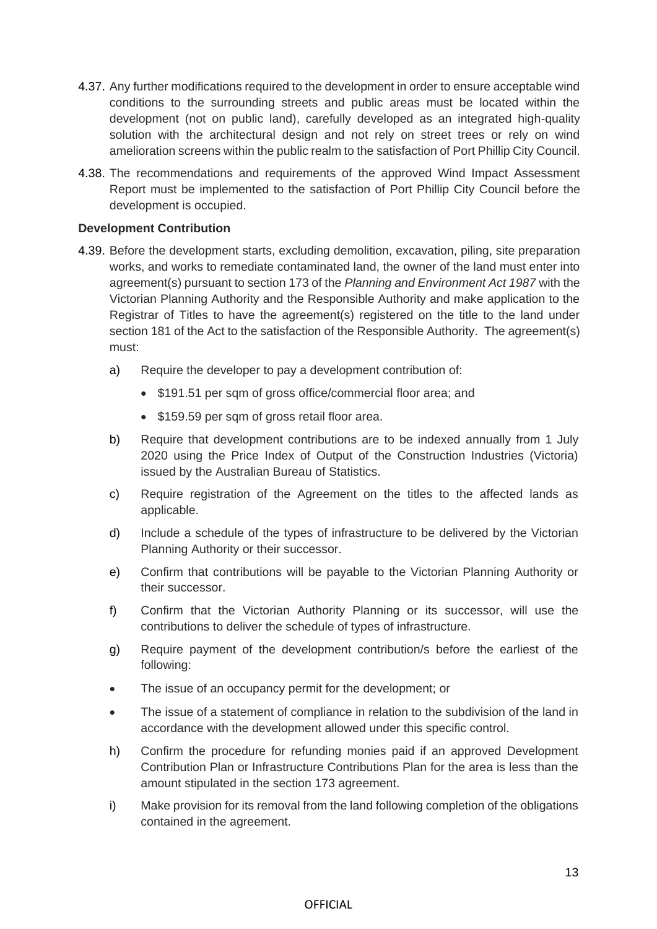- 4.37. Any further modifications required to the development in order to ensure acceptable wind conditions to the surrounding streets and public areas must be located within the development (not on public land), carefully developed as an integrated high-quality solution with the architectural design and not rely on street trees or rely on wind amelioration screens within the public realm to the satisfaction of Port Phillip City Council.
- 4.38. The recommendations and requirements of the approved Wind Impact Assessment Report must be implemented to the satisfaction of Port Phillip City Council before the development is occupied.

#### **Development Contribution**

- 4.39. Before the development starts, excluding demolition, excavation, piling, site preparation works, and works to remediate contaminated land, the owner of the land must enter into agreement(s) pursuant to section 173 of the *Planning and Environment Act 1987* with the Victorian Planning Authority and the Responsible Authority and make application to the Registrar of Titles to have the agreement(s) registered on the title to the land under section 181 of the Act to the satisfaction of the Responsible Authority. The agreement(s) must:
	- a) Require the developer to pay a development contribution of:
		- \$191.51 per sqm of gross office/commercial floor area; and
		- \$159.59 per sqm of gross retail floor area.
	- b) Require that development contributions are to be indexed annually from 1 July 2020 using the Price Index of Output of the Construction Industries (Victoria) issued by the Australian Bureau of Statistics.
	- c) Require registration of the Agreement on the titles to the affected lands as applicable.
	- d) Include a schedule of the types of infrastructure to be delivered by the Victorian Planning Authority or their successor.
	- e) Confirm that contributions will be payable to the Victorian Planning Authority or their successor.
	- f) Confirm that the Victorian Authority Planning or its successor, will use the contributions to deliver the schedule of types of infrastructure.
	- g) Require payment of the development contribution/s before the earliest of the following:
	- The issue of an occupancy permit for the development; or
	- The issue of a statement of compliance in relation to the subdivision of the land in accordance with the development allowed under this specific control.
	- h) Confirm the procedure for refunding monies paid if an approved Development Contribution Plan or Infrastructure Contributions Plan for the area is less than the amount stipulated in the section 173 agreement.
	- i) Make provision for its removal from the land following completion of the obligations contained in the agreement.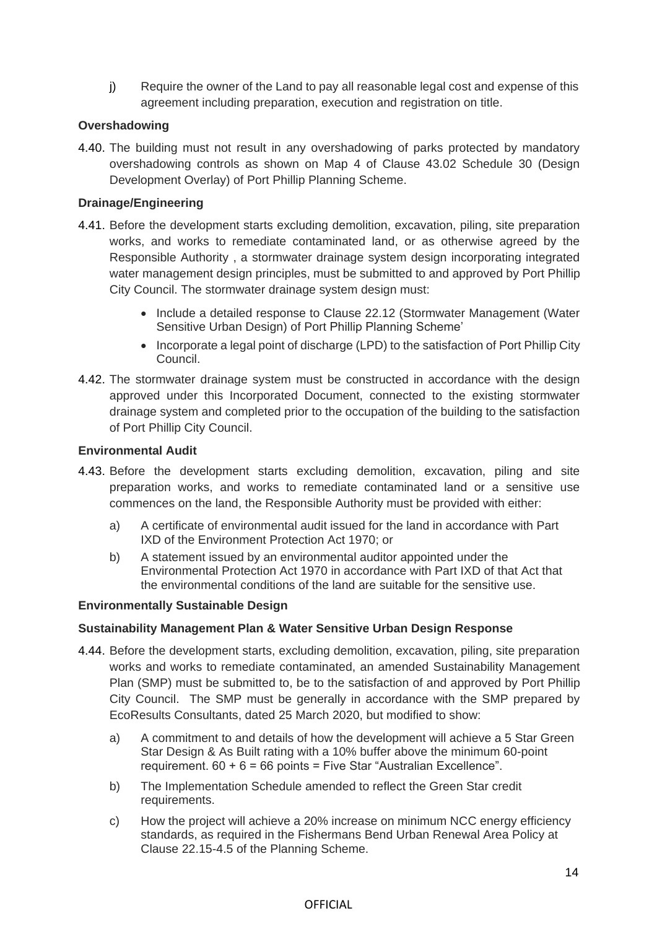j) Require the owner of the Land to pay all reasonable legal cost and expense of this agreement including preparation, execution and registration on title.

## **Overshadowing**

4.40. The building must not result in any overshadowing of parks protected by mandatory overshadowing controls as shown on Map 4 of Clause 43.02 Schedule 30 (Design Development Overlay) of Port Phillip Planning Scheme.

### **Drainage/Engineering**

- 4.41. Before the development starts excluding demolition, excavation, piling, site preparation works, and works to remediate contaminated land, or as otherwise agreed by the Responsible Authority , a stormwater drainage system design incorporating integrated water management design principles, must be submitted to and approved by Port Phillip City Council. The stormwater drainage system design must:
	- Include a detailed response to Clause 22.12 (Stormwater Management (Water Sensitive Urban Design) of Port Phillip Planning Scheme'
	- Incorporate a legal point of discharge (LPD) to the satisfaction of Port Phillip City Council.
- 4.42. The stormwater drainage system must be constructed in accordance with the design approved under this Incorporated Document, connected to the existing stormwater drainage system and completed prior to the occupation of the building to the satisfaction of Port Phillip City Council.

#### **Environmental Audit**

- 4.43. Before the development starts excluding demolition, excavation, piling and site preparation works, and works to remediate contaminated land or a sensitive use commences on the land, the Responsible Authority must be provided with either:
	- a) A certificate of environmental audit issued for the land in accordance with Part IXD of the Environment Protection Act 1970; or
	- b) A statement issued by an environmental auditor appointed under the Environmental Protection Act 1970 in accordance with Part IXD of that Act that the environmental conditions of the land are suitable for the sensitive use.

### **Environmentally Sustainable Design**

### **Sustainability Management Plan & Water Sensitive Urban Design Response**

- 4.44. Before the development starts, excluding demolition, excavation, piling, site preparation works and works to remediate contaminated, an amended Sustainability Management Plan (SMP) must be submitted to, be to the satisfaction of and approved by Port Phillip City Council. The SMP must be generally in accordance with the SMP prepared by EcoResults Consultants, dated 25 March 2020, but modified to show:
	- a) A commitment to and details of how the development will achieve a 5 Star Green Star Design & As Built rating with a 10% buffer above the minimum 60-point requirement.  $60 + 6 = 66$  points = Five Star "Australian Excellence".
	- b) The Implementation Schedule amended to reflect the Green Star credit requirements.
	- c) How the project will achieve a 20% increase on minimum NCC energy efficiency standards, as required in the Fishermans Bend Urban Renewal Area Policy at Clause 22.15-4.5 of the Planning Scheme.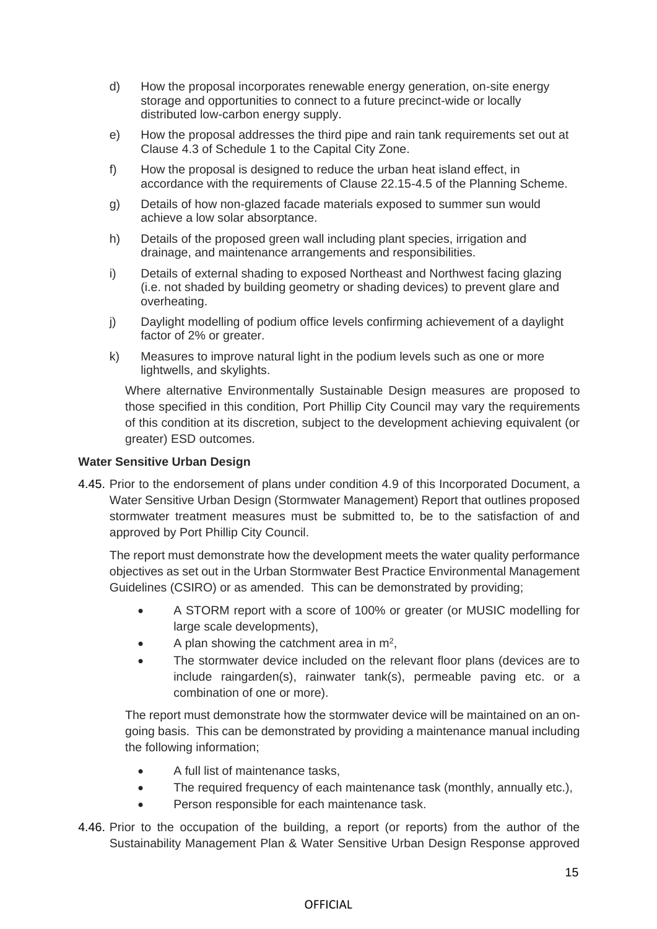- d) How the proposal incorporates renewable energy generation, on-site energy storage and opportunities to connect to a future precinct-wide or locally distributed low-carbon energy supply.
- e) How the proposal addresses the third pipe and rain tank requirements set out at Clause 4.3 of Schedule 1 to the Capital City Zone.
- f) How the proposal is designed to reduce the urban heat island effect, in accordance with the requirements of Clause 22.15-4.5 of the Planning Scheme.
- g) Details of how non-glazed facade materials exposed to summer sun would achieve a low solar absorptance.
- h) Details of the proposed green wall including plant species, irrigation and drainage, and maintenance arrangements and responsibilities.
- i) Details of external shading to exposed Northeast and Northwest facing glazing (i.e. not shaded by building geometry or shading devices) to prevent glare and overheating.
- j) Daylight modelling of podium office levels confirming achievement of a daylight factor of 2% or greater.
- k) Measures to improve natural light in the podium levels such as one or more lightwells, and skylights.

Where alternative Environmentally Sustainable Design measures are proposed to those specified in this condition, Port Phillip City Council may vary the requirements of this condition at its discretion, subject to the development achieving equivalent (or greater) ESD outcomes.

#### **Water Sensitive Urban Design**

4.45. Prior to the endorsement of plans under condition 4.9 of this Incorporated Document, a Water Sensitive Urban Design (Stormwater Management) Report that outlines proposed stormwater treatment measures must be submitted to, be to the satisfaction of and approved by Port Phillip City Council.

The report must demonstrate how the development meets the water quality performance objectives as set out in the Urban Stormwater Best Practice Environmental Management Guidelines (CSIRO) or as amended. This can be demonstrated by providing;

- A STORM report with a score of 100% or greater (or MUSIC modelling for large scale developments),
- A plan showing the catchment area in  $m^2$ ,
- The stormwater device included on the relevant floor plans (devices are to include raingarden(s), rainwater tank(s), permeable paving etc. or a combination of one or more).

The report must demonstrate how the stormwater device will be maintained on an ongoing basis. This can be demonstrated by providing a maintenance manual including the following information;

- A full list of maintenance tasks,
- The required frequency of each maintenance task (monthly, annually etc.),
- Person responsible for each maintenance task.
- 4.46. Prior to the occupation of the building, a report (or reports) from the author of the Sustainability Management Plan & Water Sensitive Urban Design Response approved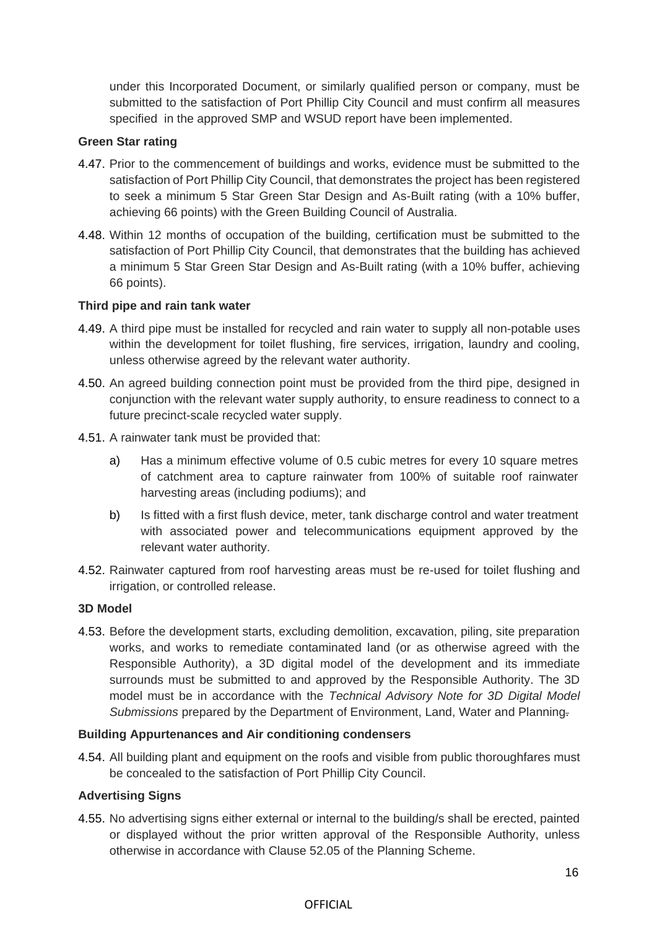under this Incorporated Document, or similarly qualified person or company, must be submitted to the satisfaction of Port Phillip City Council and must confirm all measures specified in the approved SMP and WSUD report have been implemented.

### **Green Star rating**

- 4.47. Prior to the commencement of buildings and works, evidence must be submitted to the satisfaction of Port Phillip City Council, that demonstrates the project has been registered to seek a minimum 5 Star Green Star Design and As-Built rating (with a 10% buffer, achieving 66 points) with the Green Building Council of Australia.
- 4.48. Within 12 months of occupation of the building, certification must be submitted to the satisfaction of Port Phillip City Council, that demonstrates that the building has achieved a minimum 5 Star Green Star Design and As-Built rating (with a 10% buffer, achieving 66 points).

## **Third pipe and rain tank water**

- 4.49. A third pipe must be installed for recycled and rain water to supply all non-potable uses within the development for toilet flushing, fire services, irrigation, laundry and cooling, unless otherwise agreed by the relevant water authority.
- 4.50. An agreed building connection point must be provided from the third pipe, designed in conjunction with the relevant water supply authority, to ensure readiness to connect to a future precinct-scale recycled water supply.
- 4.51. A rainwater tank must be provided that:
	- a) Has a minimum effective volume of 0.5 cubic metres for every 10 square metres of catchment area to capture rainwater from 100% of suitable roof rainwater harvesting areas (including podiums); and
	- b) Is fitted with a first flush device, meter, tank discharge control and water treatment with associated power and telecommunications equipment approved by the relevant water authority.
- 4.52. Rainwater captured from roof harvesting areas must be re-used for toilet flushing and irrigation, or controlled release.

### **3D Model**

4.53. Before the development starts, excluding demolition, excavation, piling, site preparation works, and works to remediate contaminated land (or as otherwise agreed with the Responsible Authority), a 3D digital model of the development and its immediate surrounds must be submitted to and approved by the Responsible Authority. The 3D model must be in accordance with the *Technical Advisory Note for 3D Digital Model Submissions* prepared by the Department of Environment, Land, Water and Planning.

### **Building Appurtenances and Air conditioning condensers**

4.54. All building plant and equipment on the roofs and visible from public thoroughfares must be concealed to the satisfaction of Port Phillip City Council.

## **Advertising Signs**

4.55. No advertising signs either external or internal to the building/s shall be erected, painted or displayed without the prior written approval of the Responsible Authority, unless otherwise in accordance with Clause 52.05 of the Planning Scheme.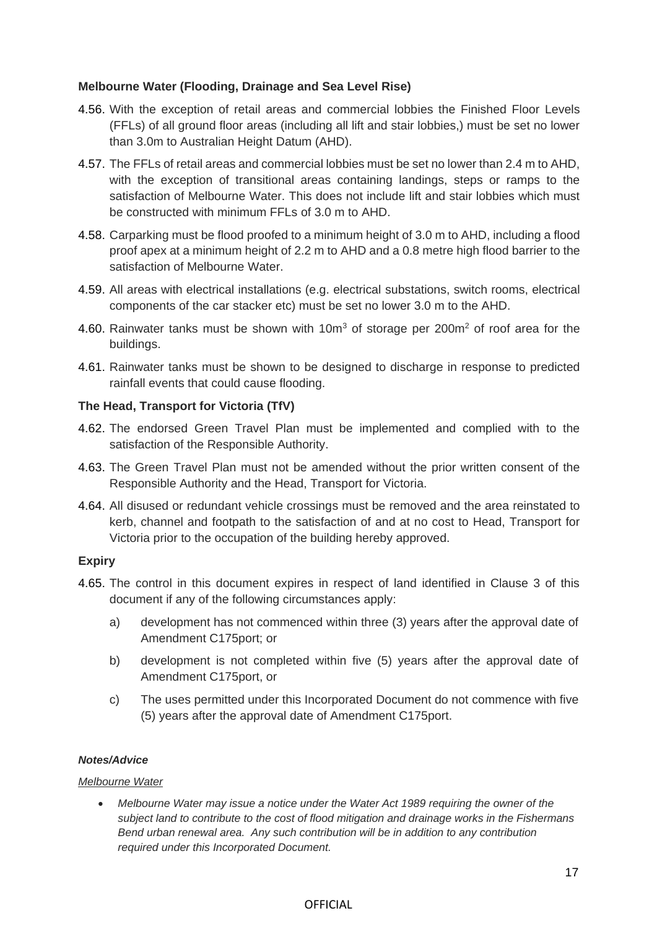### **Melbourne Water (Flooding, Drainage and Sea Level Rise)**

- 4.56. With the exception of retail areas and commercial lobbies the Finished Floor Levels (FFLs) of all ground floor areas (including all lift and stair lobbies,) must be set no lower than 3.0m to Australian Height Datum (AHD).
- 4.57. The FFLs of retail areas and commercial lobbies must be set no lower than 2.4 m to AHD, with the exception of transitional areas containing landings, steps or ramps to the satisfaction of Melbourne Water. This does not include lift and stair lobbies which must be constructed with minimum FFLs of 3.0 m to AHD.
- 4.58. Carparking must be flood proofed to a minimum height of 3.0 m to AHD, including a flood proof apex at a minimum height of 2.2 m to AHD and a 0.8 metre high flood barrier to the satisfaction of Melbourne Water.
- 4.59. All areas with electrical installations (e.g. electrical substations, switch rooms, electrical components of the car stacker etc) must be set no lower 3.0 m to the AHD.
- 4.60. Rainwater tanks must be shown with 10m<sup>3</sup> of storage per 200m<sup>2</sup> of roof area for the buildings.
- 4.61. Rainwater tanks must be shown to be designed to discharge in response to predicted rainfall events that could cause flooding.

## **The Head, Transport for Victoria (TfV)**

- 4.62. The endorsed Green Travel Plan must be implemented and complied with to the satisfaction of the Responsible Authority.
- 4.63. The Green Travel Plan must not be amended without the prior written consent of the Responsible Authority and the Head, Transport for Victoria.
- 4.64. All disused or redundant vehicle crossings must be removed and the area reinstated to kerb, channel and footpath to the satisfaction of and at no cost to Head, Transport for Victoria prior to the occupation of the building hereby approved.

### **Expiry**

- 4.65. The control in this document expires in respect of land identified in Clause 3 of this document if any of the following circumstances apply:
	- a) development has not commenced within three (3) years after the approval date of Amendment C175port; or
	- b) development is not completed within five (5) years after the approval date of Amendment C175port, or
	- c) The uses permitted under this Incorporated Document do not commence with five (5) years after the approval date of Amendment C175port.

### *Notes/Advice*

### *Melbourne Water*

• *Melbourne Water may issue a notice under the Water Act 1989 requiring the owner of the subject land to contribute to the cost of flood mitigation and drainage works in the Fishermans Bend urban renewal area. Any such contribution will be in addition to any contribution required under this Incorporated Document.*